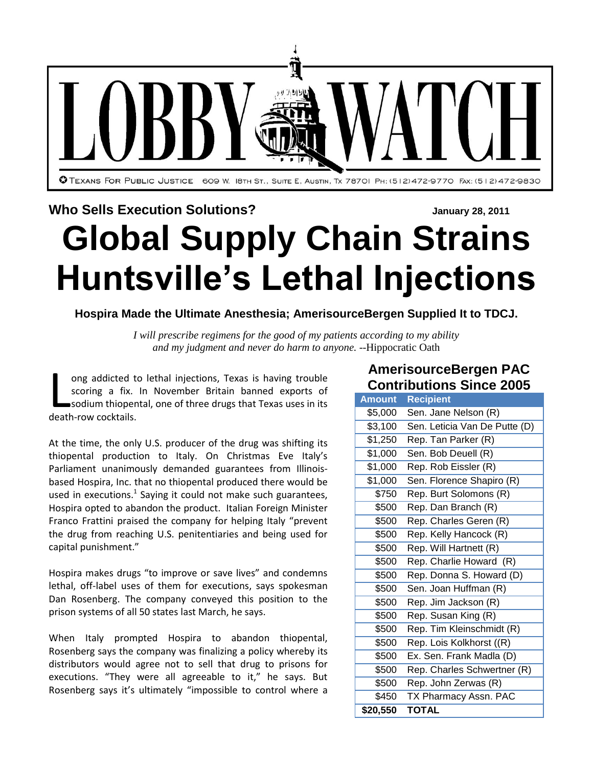

#### **Who Sells Execution Solutions? January** 28, 2011

# **Global Supply Chain Strains Huntsville's Lethal Injections**

**Hospira Made the Ultimate Anesthesia; AmerisourceBergen Supplied It to TDCJ.**

*I will [prescribe](http://en.wikipedia.org/wiki/Medical_prescription#History) regimens for the good of my patients according to my ability and my judgment and [never do harm](http://en.wikipedia.org/wiki/Primum_non_nocere) to anyone.* --Hippocratic Oath

ong addicted to lethal injections, Texas is having trouble scoring a fix. In November Britain banned exports of sodium thiopental, one of three drugs that Texas uses in its ong addicted to<br>scoring a fix.<br>sodium thiopen<br>death-row cocktails.

At the time, the only U.S. producer of the drug was shifting its thiopental production to Italy. On Christmas Eve Italy's Parliament unanimously demanded guarantees from Illinoisbased Hospira, Inc. that no thiopental produced there would be used in executions. $^1$  Saying it could not make such guarantees, Hospira opted to abandon the product. Italian Foreign Minister Franco Frattini praised the company for helping Italy "prevent the drug from reaching U.S. penitentiaries and being used for capital punishment."

Hospira makes drugs "to improve or save lives" and condemns lethal, off-label uses of them for executions, says spokesman Dan Rosenberg. The company conveyed this position to the prison systems of all 50 states last March, he says.

When Italy prompted Hospira to abandon thiopental, Rosenberg says the company was finalizing a policy whereby its distributors would agree not to sell that drug to prisons for executions. "They were all agreeable to it," he says. But Rosenberg says it's ultimately "impossible to control where a

## **AmerisourceBergen PAC Contributions Since 2005**

| <b>Amount</b> | <b>Recipient</b>              |
|---------------|-------------------------------|
| \$5,000       | Sen. Jane Nelson (R)          |
| \$3,100       | Sen. Leticia Van De Putte (D) |
| \$1,250       | Rep. Tan Parker (R)           |
| \$1,000       | Sen. Bob Deuell (R)           |
| \$1,000       | Rep. Rob Eissler (R)          |
| \$1,000       | Sen. Florence Shapiro (R)     |
| \$750         | Rep. Burt Solomons (R)        |
| \$500         | Rep. Dan Branch (R)           |
| \$500         | Rep. Charles Geren (R)        |
| \$500         | Rep. Kelly Hancock (R)        |
| \$500         | Rep. Will Hartnett (R)        |
| \$500         | Rep. Charlie Howard (R)       |
| \$500         | Rep. Donna S. Howard (D)      |
| \$500         | Sen. Joan Huffman (R)         |
| \$500         | Rep. Jim Jackson (R)          |
| \$500         | Rep. Susan King (R)           |
| \$500         | Rep. Tim Kleinschmidt (R)     |
| \$500         | Rep. Lois Kolkhorst ((R)      |
| \$500         | Ex. Sen. Frank Madla (D)      |
| \$500         | Rep. Charles Schwertner (R)   |
| \$500         | Rep. John Zerwas (R)          |
| \$450         | TX Pharmacy Assn. PAC         |
| \$20,550      | <b>TOTAL</b>                  |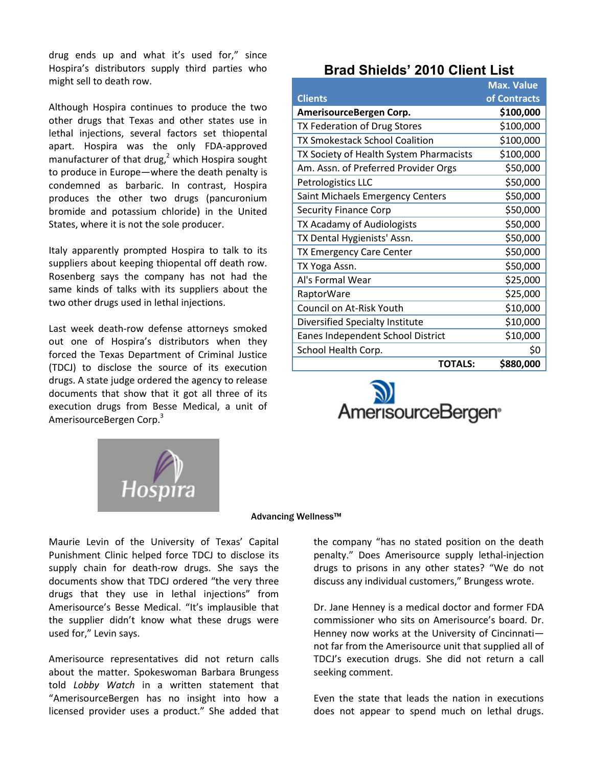drug ends up and what it's used for," since Hospira's distributors supply third parties who might sell to death row.

Although Hospira continues to produce the two other drugs that Texas and other states use in lethal injections, several factors set thiopental apart. Hospira was the only FDA-approved manufacturer of that drug, <sup>2</sup> which Hospira sought to produce in Europe—where the death penalty is condemned as barbaric. In contrast, Hospira produces the other two drugs (pancuronium bromide and potassium chloride) in the United States, where it is not the sole producer.

Italy apparently prompted Hospira to talk to its suppliers about keeping thiopental off death row. Rosenberg says the company has not had the same kinds of talks with its suppliers about the two other drugs used in lethal injections.

Last week death-row defense attorneys smoked out one of Hospira's distributors when they forced the Texas Department of Criminal Justice (TDCJ) to disclose the source of its execution drugs. A state judge ordered the agency to release documents that show that it got all three of its execution drugs from Besse Medical, a unit of AmerisourceBergen Corp.<sup>3</sup>



### **Brad Shields' 2010 Client List**

|                                         | <b>Max. Value</b> |
|-----------------------------------------|-------------------|
| <b>Clients</b>                          | of Contracts      |
| AmerisourceBergen Corp.                 | \$100,000         |
| TX Federation of Drug Stores            | \$100,000         |
| <b>TX Smokestack School Coalition</b>   | \$100,000         |
| TX Society of Health System Pharmacists | \$100,000         |
| Am. Assn. of Preferred Provider Orgs    | \$50,000          |
| Petrologistics LLC                      | \$50,000          |
| Saint Michaels Emergency Centers        | \$50,000          |
| <b>Security Finance Corp</b>            | \$50,000          |
| TX Acadamy of Audiologists              | \$50,000          |
| TX Dental Hygienists' Assn.             | \$50,000          |
| TX Emergency Care Center                | \$50,000          |
| TX Yoga Assn.                           | \$50,000          |
| Al's Formal Wear                        | \$25,000          |
| RaptorWare                              | \$25,000          |
| Council on At-Risk Youth                | \$10,000          |
| Diversified Specialty Institute         | \$10,000          |
| Eanes Independent School District       | \$10,000          |
| School Health Corp.                     | \$0               |
| <b>TOTALS:</b>                          | \$880,000         |



#### Advancing Wellness™

Maurie Levin of the University of Texas' Capital Punishment Clinic helped force TDCJ to disclose its supply chain for death-row drugs. She says the documents show that TDCJ ordered "the very three drugs that they use in lethal injections" from Amerisource's Besse Medical. "It's implausible that the supplier didn't know what these drugs were used for," Levin says.

Amerisource representatives did not return calls about the matter. Spokeswoman Barbara Brungess told *Lobby Watch* in a written statement that "AmerisourceBergen has no insight into how a licensed provider uses a product." She added that the company "has no stated position on the death penalty." Does Amerisource supply lethal-injection drugs to prisons in any other states? "We do not discuss any individual customers," Brungess wrote.

Dr. Jane Henney is a medical doctor and former FDA commissioner who sits on Amerisource's board. Dr. Henney now works at the University of Cincinnati not far from the Amerisource unit that supplied all of TDCJ's execution drugs. She did not return a call seeking comment.

Even the state that leads the nation in executions does not appear to spend much on lethal drugs.